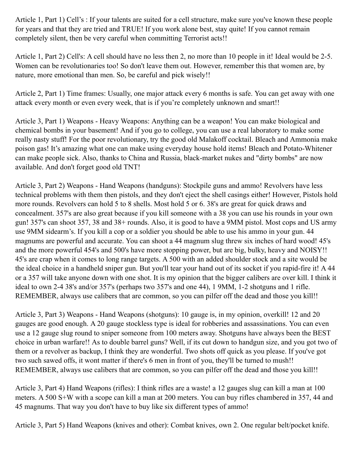Article 1, Part 1) Cell's : If your talents are suited for a cell structure, make sure you've known these people for years and that they are tried and TRUE! If you work alone best, stay quite! If you cannot remain completely silent, then be very careful when committing Terrorist acts!!

Article 1, Part 2) Cell's: A cell should have no less then 2, no more than 10 people in it! Ideal would be 2-5. Women can be revolutionaries too! So don't leave them out. However, remember this that women are, by nature, more emotional than men. So, be careful and pick wisely!!

Article 2, Part 1) Time frames: Usually, one major attack every 6 months is safe. You can get away with one attack every month or even every week, that is if you're completely unknown and smart!!

Article 3, Part 1) Weapons - Heavy Weapons: Anything can be a weapon! You can make biological and chemical bombs in your basement! And if you go to college, you can use a real laboratory to make some really nasty stuff! For the poor revolutionary, try the good old Malakoff cocktail. Bleach and Ammonia make poison gas! It's amazing what one can make using everyday house hold items! Bleach and Potato-Whitener can make people sick. Also, thanks to China and Russia, black-market nukes and "dirty bombs" are now available. And don't forget good old TNT!

Article 3, Part 2) Weapons - Hand Weapons (handguns): Stockpile guns and ammo! Revolvers have less technical problems with them then pistols, and they don't eject the shell casings either! However, Pistols hold more rounds. Revolvers can hold 5 to 8 shells. Most hold 5 or 6. 38's are great for quick draws and concealment. 357's are also great because if you kill someone with a 38 you can use his rounds in your own gun! 357's can shoot 357, 38 and 38+ rounds. Also, it is good to have a 9MM pistol. Most cops and US army use 9MM sidearm's. If you kill a cop or a soldier you should be able to use his ammo in your gun. 44 magnums are powerful and accurate. You can shoot a 44 magnum slug threw six inches of hard wood! 45's and the more powerful 454's and 500's have more stopping power, but are big, bulky, heavy and NOISY!! 45's are crap when it comes to long range targets. A 500 with an added shoulder stock and a site would be the ideal choice in a handheld sniper gun. But you'll tear your hand out of its socket if you rapid-fire it! A 44 or a 357 will take anyone down with one shot. It is my opinion that the bigger calibers are over kill. I think it ideal to own 2-4 38's and/or 357's (perhaps two 357's and one 44), 1 9MM, 1-2 shotguns and 1 rifle. REMEMBER, always use calibers that are common, so you can pilfer off the dead and those you kill!!

Article 3, Part 3) Weapons - Hand Weapons (shotguns): 10 gauge is, in my opinion, overkill! 12 and 20 gauges are good enough. A 20 gauge stockless type is ideal for robberies and assassinations. You can even use a 12 gauge slug round to sniper someone from 100 meters away. Shotguns have always been the BEST choice in urban warfare!! As to double barrel guns? Well, if its cut down to handgun size, and you got two of them or a revolver as backup, I think they are wonderful. Two shots off quick as you please. If you've got two such sawed offs, it wont matter if there's 6 men in front of you, they'll be turned to mush!! REMEMBER, always use calibers that are common, so you can pilfer off the dead and those you kill!!

Article 3, Part 4) Hand Weapons (rifles): I think rifles are a waste! a 12 gauges slug can kill a man at 100 meters. A 500 S+W with a scope can kill a man at 200 meters. You can buy rifles chambered in 357, 44 and 45 magnums. That way you don't have to buy like six different types of ammo!

Article 3, Part 5) Hand Weapons (knives and other): Combat knives, own 2. One regular belt/pocket knife.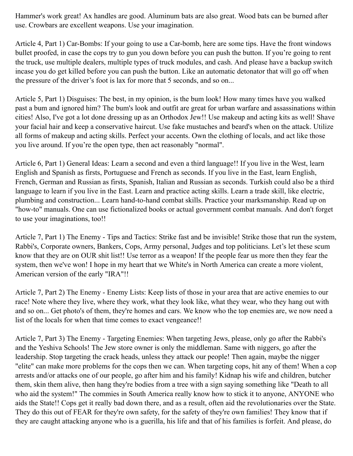Hammer's work great! Ax handles are good. Aluminum bats are also great. Wood bats can be burned after use. Crowbars are excellent weapons. Use your imagination.

Article 4, Part 1) Car-Bombs: If your going to use a Car-bomb, here are some tips. Have the front windows bullet proofed, in case the cops try to gun you down before you can push the button. If you're going to rent the truck, use multiple dealers, multiple types of truck modules, and cash. And please have a backup switch incase you do get killed before you can push the button. Like an automatic detonator that will go off when the pressure of the driver's foot is lax for more that 5 seconds, and so on...

Article 5, Part 1) Disguises: The best, in my opinion, is the bum look! How many times have you walked past a bum and ignored him? The bum's look and outfit are great for urban warfare and assassinations within cities! Also, I've got a lot done dressing up as an Orthodox Jew!! Use makeup and acting kits as well! Shave your facial hair and keep a conservative haircut. Use fake mustaches and beard's when on the attack. Utilize all forms of makeup and acting skills. Perfect your accents. Own the clothing of locals, and act like those you live around. If you're the open type, then act reasonably "normal".

Article 6, Part 1) General Ideas: Learn a second and even a third language!! If you live in the West, learn English and Spanish as firsts, Portuguese and French as seconds. If you live in the East, learn English, French, German and Russian as firsts, Spanish, Italian and Russian as seconds. Turkish could also be a third language to learn if you live in the East. Learn and practice acting skills. Learn a trade skill, like electric, plumbing and construction... Learn hand-to-hand combat skills. Practice your marksmanship. Read up on "how-to" manuals. One can use fictionalized books or actual government combat manuals. And don't forget to use your imaginations, too!!

Article 7, Part 1) The Enemy - Tips and Tactics: Strike fast and be invisible! Strike those that run the system, Rabbi's, Corporate owners, Bankers, Cops, Army personal, Judges and top politicians. Let's let these scum know that they are on OUR shit list!! Use terror as a weapon! If the people fear us more then they fear the system, then we've won! I hope in my heart that we White's in North America can create a more violent, American version of the early "IRA"!!

Article 7, Part 2) The Enemy - Enemy Lists: Keep lists of those in your area that are active enemies to our race! Note where they live, where they work, what they look like, what they wear, who they hang out with and so on... Get photo's of them, they're homes and cars. We know who the top enemies are, we now need a list of the locals for when that time comes to exact vengeance!!

Article 7, Part 3) The Enemy - Targeting Enemies: When targeting Jews, please, only go after the Rabbi's and the Yeshiva Schools! The Jew store owner is only the middleman. Same with niggers, go after the leadership. Stop targeting the crack heads, unless they attack our people! Then again, maybe the nigger "elite" can make more problems for the cops then we can. When targeting cops, hit any of them! When a cop arrests and/or attacks one of our people, go after him and his family! Kidnap his wife and children, butcher them, skin them alive, then hang they're bodies from a tree with a sign saying something like "Death to all who aid the system!" The commies in South America really know how to stick it to anyone, ANYONE who aids the State!! Cops get it really bad down there, and as a result, often aid the revolutionaries over the State. They do this out of FEAR for they're own safety, for the safety of they're own families! They know that if they are caught attacking anyone who is a guerilla, his life and that of his families is forfeit. And please, do